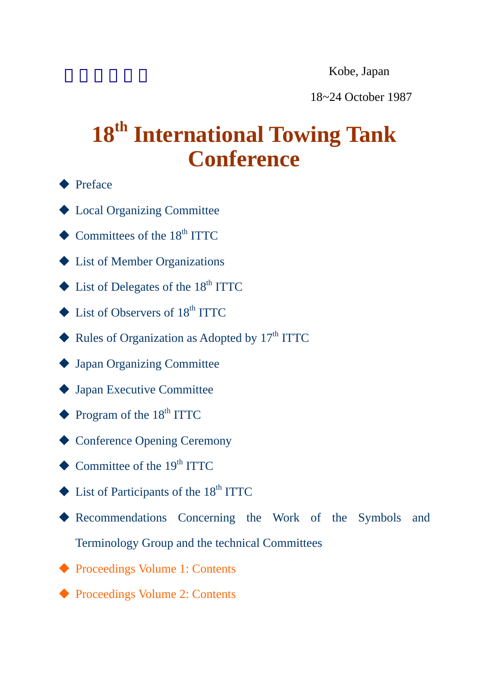Kobe, Japan

18~24 October 1987

# 18<sup>th</sup> International Towing Tank **Conference**

- ◆ Preface
- [Local Organizing Committee](http://ittc.info/media/2540/local-organizing-committee.pdf)
- $\triangle$  Committees of the 18<sup>th</sup> ITTC
- ◆ List of Member Organizations
- $\blacklozenge$  List of Delegates of the 18<sup>th</sup> ITTC
- $\blacklozenge$  List of Observers of 18<sup>th</sup> ITTC
- $\blacklozenge$  Rules of Organization as Adopted by 17<sup>th</sup> ITTC
- [Japan Organizing Committee](http://ittc.info/media/2530/japan-organizing-committee.pdf)
- ◆ Japan Executive Committee
- $\blacklozenge$  Program of the 18<sup>th</sup> ITTC
- ◆ Conference Opening Ceremony
- $\blacklozenge$  Committee of the 19<sup>th</sup> ITTC
- $\triangle$  List of Participants of the 18<sup>th</sup> ITTC
- [Recommendations Concerning the Work of the Symbols and](http://ittc.info/media/2546/recommendations-concerning-the-work-of-the-symbols-and-terminology-group-and-the-technical-commit.pdf)  Terminology Group and the technical Committees
- ◆ [Proceedings Volume 1: Contents](#page-1-0)
- ◆ Proceedings Volume 2: Contents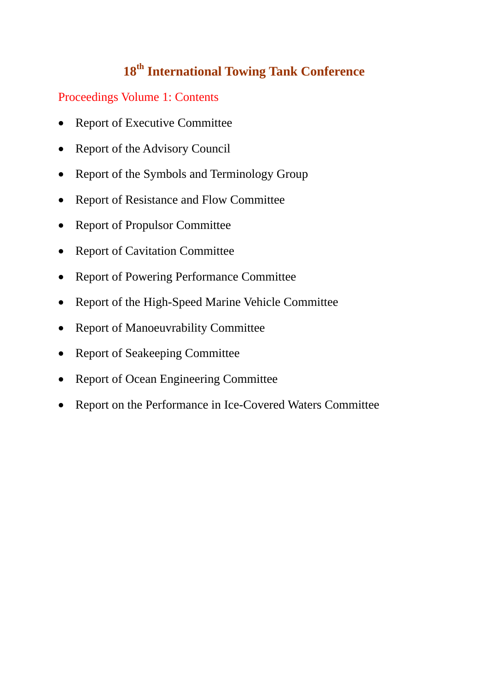### **18th International Towing Tank Conference**

#### <span id="page-1-0"></span>Proceedings Volume 1: Contents

- [Report of Executive Committee](http://ittc.info/media/2550/report-of-executive-committee.pdf)
- Report of the Advisory Council
- Report of the Symbols and Terminology Group
- [Report of Resistance and Flow Committee](http://ittc.info/media/2560/report-of-resistance-and-flow-committee.pdf)
- [Report of Propulsor Committee](http://ittc.info/media/2558/report-of-propulsor-committee.pdf)
- [Report of Cavitation Committee](http://ittc.info/media/2548/report-of-cavitation-committee.pdf)
- [Report of Powering Performance Committee](http://ittc.info/media/2556/report-of-powering-performance-committee.pdf)
- Report of the High-Speed Marine Vehicle Committee
- Report of Manoeuvrability Committee
- Report of Seakeeping Committee
- [Report of Ocean Engineering Committee](http://ittc.info/media/2554/report-of-ocean-engineering-committee.pdf)
- [Report on the Performance in Ice-Covered Waters Committee](http://ittc.info/media/2570/report-on-the-performance-in-ice-covered-waters-committee.pdf)